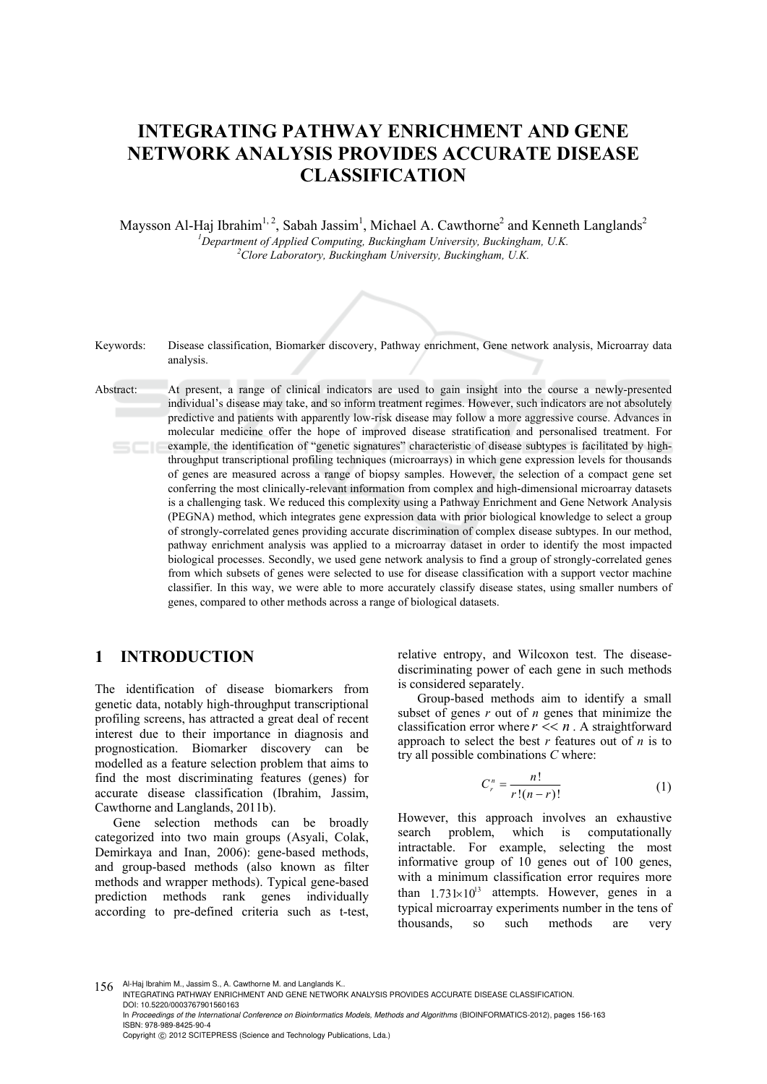# **INTEGRATING PATHWAY ENRICHMENT AND GENE NETWORK ANALYSIS PROVIDES ACCURATE DISEASE CLASSIFICATION**

Maysson Al-Haj Ibrahim<sup>1, 2</sup>, Sabah Jassim<sup>1</sup>, Michael A. Cawthorne<sup>2</sup> and Kenneth Langlands<sup>2</sup> <sup>1</sup> Department of Applied Computing, Buckingham University, Buckingham, U.K. <sup>2</sup>Clone Laboratory, Buckingham, University, Buckingham, U.K. *Clore Laboratory, Buckingham University, Buckingham, U.K.* 

Keywords: Disease classification, Biomarker discovery, Pathway enrichment, Gene network analysis, Microarray data analysis. Abstract: At present, a range of clinical indicators are used to gain insight into the course a newly-presented individual's disease may take, and so inform treatment regimes. However, such indicators are not absolutely predictive and patients with apparently low-risk disease may follow a more aggressive course. Advances in molecular medicine offer the hope of improved disease stratification and personalised treatment. For example, the identification of "genetic signatures" characteristic of disease subtypes is facilitated by highthroughput transcriptional profiling techniques (microarrays) in which gene expression levels for thousands of genes are measured across a range of biopsy samples. However, the selection of a compact gene set conferring the most clinically-relevant information from complex and high-dimensional microarray datasets is a challenging task. We reduced this complexity using a Pathway Enrichment and Gene Network Analysis (PEGNA) method, which integrates gene expression data with prior biological knowledge to select a group of strongly-correlated genes providing accurate discrimination of complex disease subtypes. In our method, pathway enrichment analysis was applied to a microarray dataset in order to identify the most impacted biological processes. Secondly, we used gene network analysis to find a group of strongly-correlated genes from which subsets of genes were selected to use for disease classification with a support vector machine classifier. In this way, we were able to more accurately classify disease states, using smaller numbers of genes, compared to other methods across a range of biological datasets.

# **1 INTRODUCTION**

The identification of disease biomarkers from genetic data, notably high-throughput transcriptional profiling screens, has attracted a great deal of recent interest due to their importance in diagnosis and prognostication. Biomarker discovery can be modelled as a feature selection problem that aims to find the most discriminating features (genes) for accurate disease classification (Ibrahim, Jassim, Cawthorne and Langlands, 2011b).

Gene selection methods can be broadly categorized into two main groups (Asyali, Colak, Demirkaya and Inan, 2006): gene-based methods, and group-based methods (also known as filter methods and wrapper methods). Typical gene-based prediction methods rank genes individually according to pre-defined criteria such as t-test, relative entropy, and Wilcoxon test. The diseasediscriminating power of each gene in such methods is considered separately.

Group-based methods aim to identify a small subset of genes *r* out of *n* genes that minimize the classification error where  $r \leq n$ . A straightforward approach to select the best *r* features out of *n* is to try all possible combinations *C* where:

$$
C_r^n = \frac{n!}{r!(n-r)!} \tag{1}
$$

However, this approach involves an exhaustive search problem, which is computationally intractable. For example, selecting the most informative group of 10 genes out of 100 genes, with a minimum classification error requires more than  $1.73 \times 10^{13}$  attempts. However, genes in a typical microarray experiments number in the tens of thousands, so such methods are very

<sup>156</sup> Al-Haj Ibrahim M., Jassim S., A. Cawthorne M. and Langlands K.. INTEGRATING PATHWAY ENRICHMENT AND GENE NETWORK ANALYSIS PROVIDES ACCURATE DISEASE CLASSIFICATION. DOI: 10.5220/0003767901560163

In Proceedings of the International Conference on Bioinformatics Models, Methods and Algorithms (BIOINFORMATICS-2012), pages 156-163 ISBN: 978-989-8425-90-4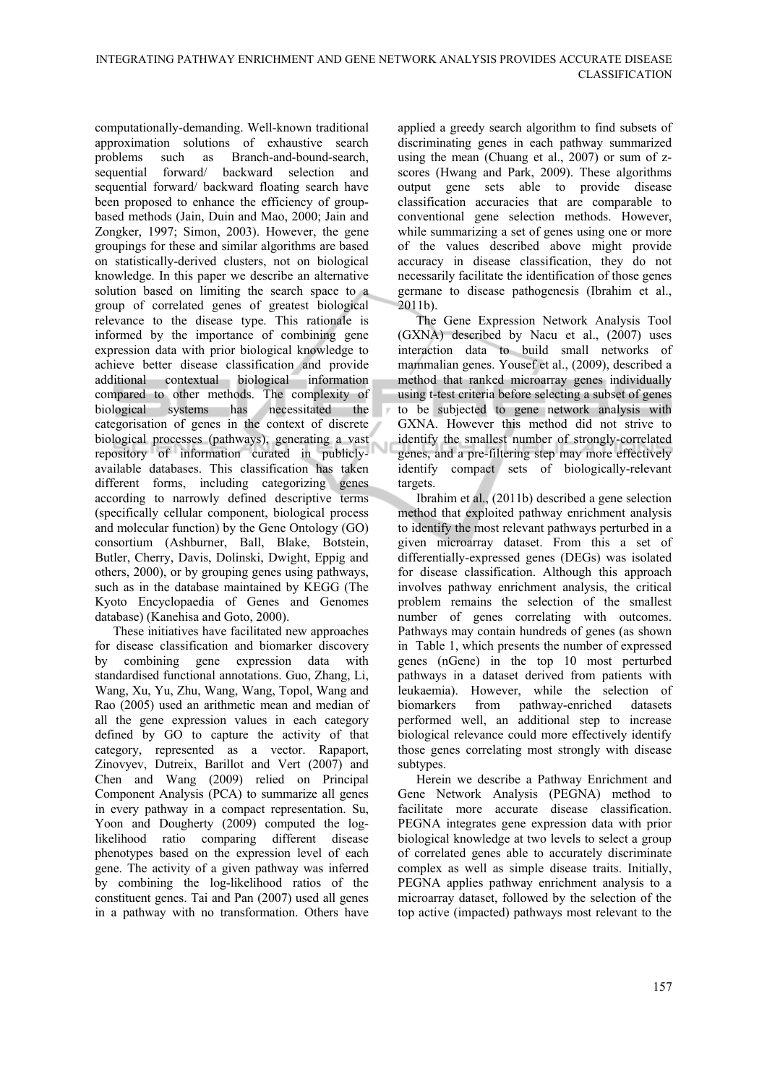computationally-demanding. Well-known traditional approximation solutions of exhaustive search problems such as Branch-and-bound-search, sequential forward/ backward selection and sequential forward/ backward floating search have been proposed to enhance the efficiency of groupbased methods (Jain, Duin and Mao, 2000; Jain and Zongker, 1997; Simon, 2003). However, the gene groupings for these and similar algorithms are based on statistically-derived clusters, not on biological knowledge. In this paper we describe an alternative solution based on limiting the search space to a group of correlated genes of greatest biological relevance to the disease type. This rationale is informed by the importance of combining gene expression data with prior biological knowledge to achieve better disease classification and provide additional contextual biological information compared to other methods. The complexity of biological systems has necessitated the categorisation of genes in the context of discrete biological processes (pathways), generating a vast repository of information curated in publiclyavailable databases. This classification has taken different forms, including categorizing genes according to narrowly defined descriptive terms (specifically cellular component, biological process and molecular function) by the Gene Ontology (GO) consortium (Ashburner, Ball, Blake, Botstein, Butler, Cherry, Davis, Dolinski, Dwight, Eppig and others, 2000), or by grouping genes using pathways, such as in the database maintained by KEGG (The Kyoto Encyclopaedia of Genes and Genomes database) (Kanehisa and Goto, 2000).

These initiatives have facilitated new approaches for disease classification and biomarker discovery by combining gene expression data with standardised functional annotations. Guo, Zhang, Li, Wang, Xu, Yu, Zhu, Wang, Wang, Topol, Wang and Rao (2005) used an arithmetic mean and median of all the gene expression values in each category defined by GO to capture the activity of that category, represented as a vector. Rapaport, Zinovyev, Dutreix, Barillot and Vert (2007) and Chen and Wang (2009) relied on Principal Component Analysis (PCA) to summarize all genes in every pathway in a compact representation. Su, Yoon and Dougherty (2009) computed the loglikelihood ratio comparing different disease phenotypes based on the expression level of each gene. The activity of a given pathway was inferred by combining the log-likelihood ratios of the constituent genes. Tai and Pan (2007) used all genes in a pathway with no transformation. Others have

applied a greedy search algorithm to find subsets of discriminating genes in each pathway summarized using the mean (Chuang et al., 2007) or sum of zscores (Hwang and Park, 2009). These algorithms output gene sets able to provide disease classification accuracies that are comparable to conventional gene selection methods. However, while summarizing a set of genes using one or more of the values described above might provide accuracy in disease classification, they do not necessarily facilitate the identification of those genes germane to disease pathogenesis (Ibrahim et al.,  $2011b$ ).

The Gene Expression Network Analysis Tool (GXNA) described by Nacu et al., (2007) uses interaction data to build small networks of mammalian genes. Yousef et al., (2009), described a method that ranked microarray genes individually using t-test criteria before selecting a subset of genes to be subjected to gene network analysis with GXNA. However this method did not strive to identify the smallest number of strongly-correlated genes, and a pre-filtering step may more effectively identify compact sets of biologically-relevant targets.

Ibrahim et al., (2011b) described a gene selection method that exploited pathway enrichment analysis to identify the most relevant pathways perturbed in a given microarray dataset. From this a set of differentially-expressed genes (DEGs) was isolated for disease classification. Although this approach involves pathway enrichment analysis, the critical problem remains the selection of the smallest number of genes correlating with outcomes. Pathways may contain hundreds of genes (as shown in Table 1, which presents the number of expressed genes (nGene) in the top 10 most perturbed pathways in a dataset derived from patients with leukaemia). However, while the selection of biomarkers from pathway-enriched datasets performed well, an additional step to increase biological relevance could more effectively identify those genes correlating most strongly with disease subtypes.

Herein we describe a Pathway Enrichment and Gene Network Analysis (PEGNA) method to facilitate more accurate disease classification. PEGNA integrates gene expression data with prior biological knowledge at two levels to select a group of correlated genes able to accurately discriminate complex as well as simple disease traits. Initially, PEGNA applies pathway enrichment analysis to a microarray dataset, followed by the selection of the top active (impacted) pathways most relevant to the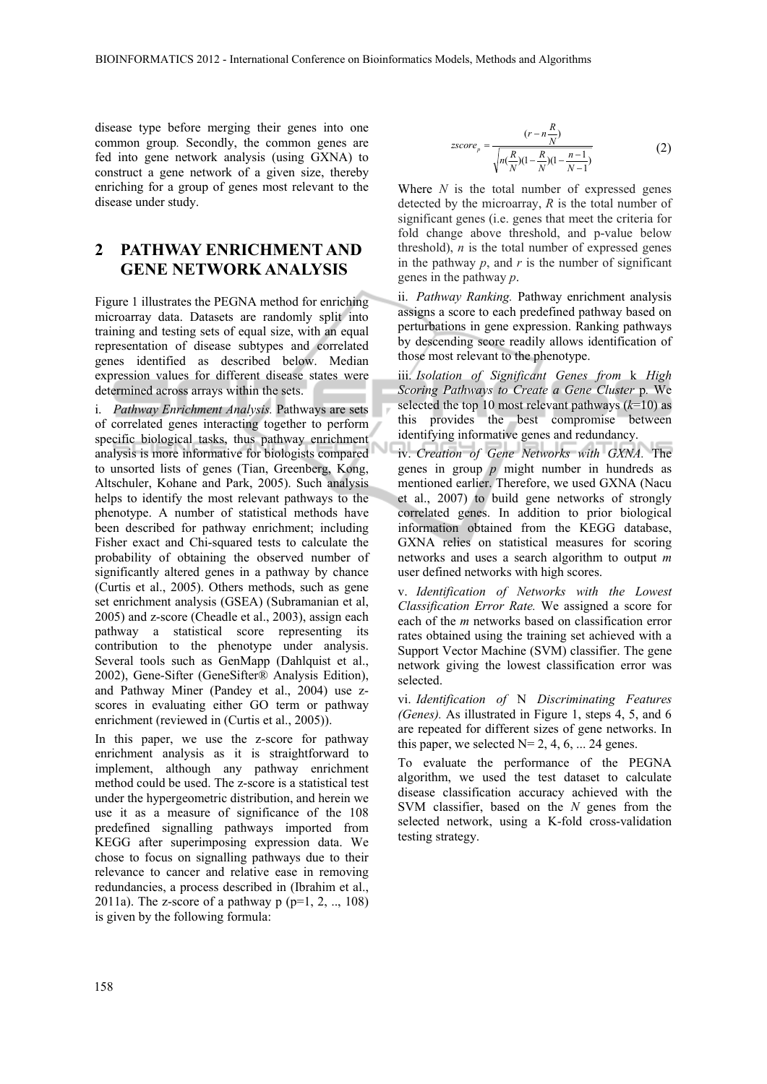disease type before merging their genes into one common group*.* Secondly, the common genes are fed into gene network analysis (using GXNA) to construct a gene network of a given size, thereby enriching for a group of genes most relevant to the disease under study.

# **2 PATHWAY ENRICHMENT AND GENE NETWORK ANALYSIS**

Figure 1 illustrates the PEGNA method for enriching microarray data. Datasets are randomly split into training and testing sets of equal size, with an equal representation of disease subtypes and correlated genes identified as described below. Median expression values for different disease states were determined across arrays within the sets.

i. *Pathway Enrichment Analysis.* Pathways are sets of correlated genes interacting together to perform specific biological tasks, thus pathway enrichment analysis is more informative for biologists compared to unsorted lists of genes (Tian, Greenberg, Kong, Altschuler, Kohane and Park, 2005). Such analysis helps to identify the most relevant pathways to the phenotype. A number of statistical methods have been described for pathway enrichment; including Fisher exact and Chi-squared tests to calculate the probability of obtaining the observed number of significantly altered genes in a pathway by chance (Curtis et al., 2005). Others methods, such as gene set enrichment analysis (GSEA) (Subramanian et al, 2005) and z-score (Cheadle et al., 2003), assign each pathway a statistical score representing its contribution to the phenotype under analysis. Several tools such as GenMapp (Dahlquist et al., 2002), Gene-Sifter (GeneSifter® Analysis Edition), and Pathway Miner (Pandey et al., 2004) use zscores in evaluating either GO term or pathway enrichment (reviewed in (Curtis et al., 2005)).

In this paper, we use the z-score for pathway enrichment analysis as it is straightforward to implement, although any pathway enrichment method could be used. The z-score is a statistical test under the hypergeometric distribution, and herein we use it as a measure of significance of the 108 predefined signalling pathways imported from KEGG after superimposing expression data. We chose to focus on signalling pathways due to their relevance to cancer and relative ease in removing redundancies, a process described in (Ibrahim et al., 2011a). The z-score of a pathway  $p (p=1, 2, ..., 108)$ is given by the following formula:

$$
zscore_p = \frac{(r - n\frac{R}{N})}{\sqrt{n(\frac{R}{N})(1 - \frac{R}{N})(1 - \frac{n-1}{N-1})}}
$$
(2)

Where *N* is the total number of expressed genes detected by the microarray, *R* is the total number of significant genes (i.e. genes that meet the criteria for fold change above threshold, and p-value below threshold),  $n$  is the total number of expressed genes in the pathway  $p$ , and  $r$  is the number of significant genes in the pathway *p*.

ii. *Pathway Ranking.* Pathway enrichment analysis assigns a score to each predefined pathway based on perturbations in gene expression. Ranking pathways by descending score readily allows identification of those most relevant to the phenotype.

iii. *Isolation of Significant Genes from* k *High Scoring Pathways to Create a Gene Cluster* p*.* We selected the top 10 most relevant pathways  $(k=10)$  as this provides the best compromise between identifying informative genes and redundancy.

iv. *Creation of Gene Networks with GXNA.* The genes in group *p* might number in hundreds as mentioned earlier. Therefore, we used GXNA (Nacu et al., 2007) to build gene networks of strongly correlated genes. In addition to prior biological information obtained from the KEGG database, GXNA relies on statistical measures for scoring networks and uses a search algorithm to output *m* user defined networks with high scores.

v. *Identification of Networks with the Lowest Classification Error Rate.* We assigned a score for each of the *m* networks based on classification error rates obtained using the training set achieved with a Support Vector Machine (SVM) classifier. The gene network giving the lowest classification error was selected.

vi. *Identification of* N *Discriminating Features (Genes).* As illustrated in Figure 1, steps 4, 5, and 6 are repeated for different sizes of gene networks. In this paper, we selected  $N= 2, 4, 6, \dots 24$  genes.

To evaluate the performance of the PEGNA algorithm, we used the test dataset to calculate disease classification accuracy achieved with the SVM classifier, based on the *N* genes from the selected network, using a K-fold cross-validation testing strategy.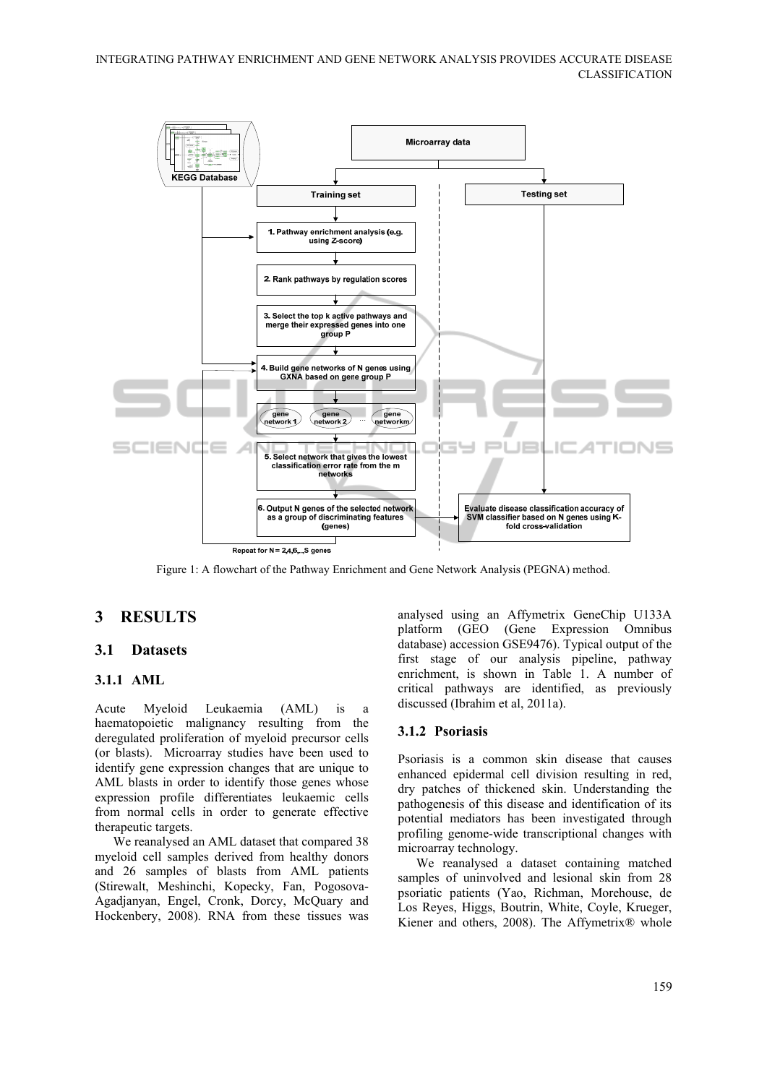

Figure 1: A flowchart of the Pathway Enrichment and Gene Network Analysis (PEGNA) method.

# **3 RESULTS**

### **3.1 Datasets**

#### **3.1.1 AML**

Acute Myeloid Leukaemia (AML) is a haematopoietic malignancy resulting from the deregulated proliferation of myeloid precursor cells (or blasts). Microarray studies have been used to identify gene expression changes that are unique to AML blasts in order to identify those genes whose expression profile differentiates leukaemic cells from normal cells in order to generate effective therapeutic targets.

We reanalysed an AML dataset that compared 38 myeloid cell samples derived from healthy donors and 26 samples of blasts from AML patients (Stirewalt, Meshinchi, Kopecky, Fan, Pogosova-Agadjanyan, Engel, Cronk, Dorcy, McQuary and Hockenbery, 2008). RNA from these tissues was

analysed using an Affymetrix GeneChip U133A platform (GEO (Gene Expression Omnibus database) accession GSE9476). Typical output of the first stage of our analysis pipeline, pathway enrichment, is shown in Table 1. A number of critical pathways are identified, as previously discussed (Ibrahim et al, 2011a).

#### **3.1.2 Psoriasis**

Psoriasis is a common skin disease that causes enhanced epidermal cell division resulting in red, dry patches of thickened skin. Understanding the pathogenesis of this disease and identification of its potential mediators has been investigated through profiling genome-wide transcriptional changes with microarray technology.

We reanalysed a dataset containing matched samples of uninvolved and lesional skin from 28 psoriatic patients (Yao, Richman, Morehouse, de Los Reyes, Higgs, Boutrin, White, Coyle, Krueger, Kiener and others, 2008). The Affymetrix® whole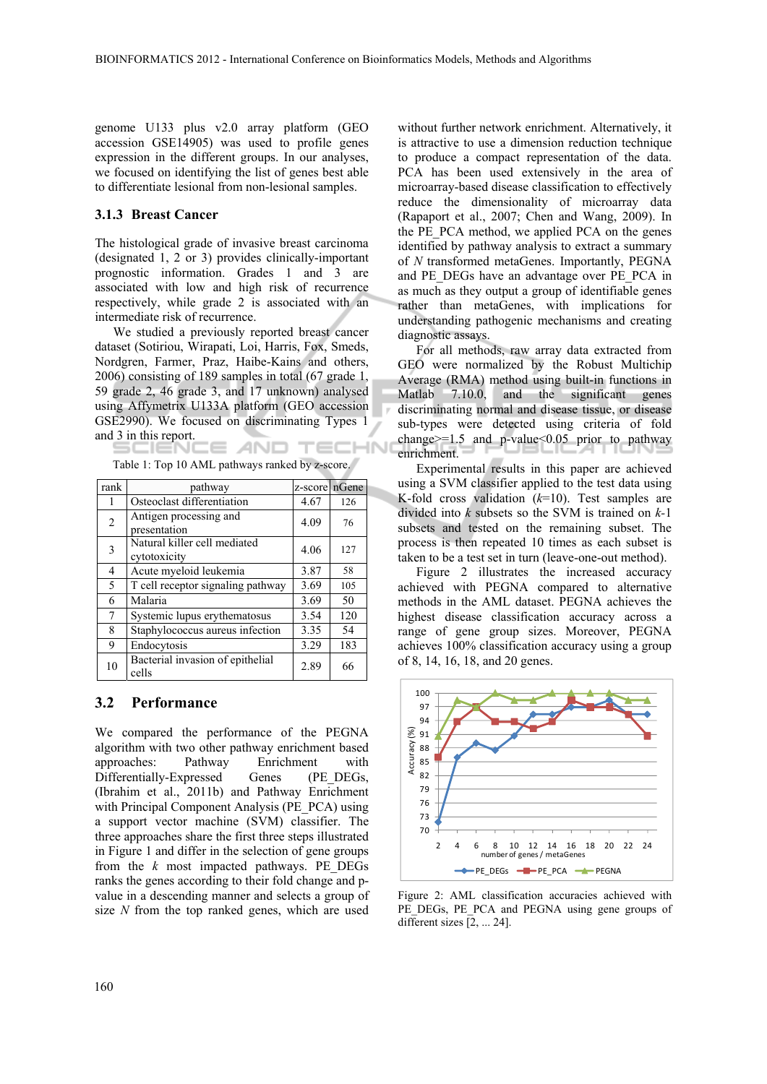genome U133 plus v2.0 array platform (GEO accession GSE14905) was used to profile genes expression in the different groups. In our analyses, we focused on identifying the list of genes best able to differentiate lesional from non-lesional samples.

#### **3.1.3 Breast Cancer**

The histological grade of invasive breast carcinoma (designated 1, 2 or 3) provides clinically-important prognostic information. Grades 1 and 3 are associated with low and high risk of recurrence respectively, while grade 2 is associated with an intermediate risk of recurrence.

We studied a previously reported breast cancer dataset (Sotiriou, Wirapati, Loi, Harris, Fox, Smeds, Nordgren, Farmer, Praz, Haibe-Kains and others, 2006) consisting of 189 samples in total (67 grade 1, 59 grade 2, 46 grade 3, and 17 unknown) analysed using Affymetrix U133A platform (GEO accession GSE2990). We focused on discriminating Types 1 and 3 in this report.

Table 1: Top 10 AML pathways ranked by z-score.

| rank | pathway                                      | z-score nGene |     |
|------|----------------------------------------------|---------------|-----|
| 1    | Osteoclast differentiation                   | 4.67          | 126 |
| 2    | Antigen processing and<br>presentation       | 4.09          | 76  |
| 3    | Natural killer cell mediated<br>cytotoxicity | 4.06          | 127 |
| 4    | Acute myeloid leukemia                       | 3.87          | 58  |
| 5    | T cell receptor signaling pathway            | 3.69          | 105 |
| 6    | Malaria                                      | 3.69          | 50  |
| 7    | Systemic lupus erythematosus                 | 3.54          | 120 |
| 8    | Staphylococcus aureus infection              | 3.35          | 54  |
| 9    | Endocytosis                                  | 3.29          | 183 |
| 10   | Bacterial invasion of epithelial<br>cells    | 2.89          | 66  |

#### **3.2 Performance**

We compared the performance of the PEGNA algorithm with two other pathway enrichment based approaches: Pathway Enrichment with Differentially-Expressed Genes (PE\_DEGs, (Ibrahim et al., 2011b) and Pathway Enrichment with Principal Component Analysis (PE\_PCA) using a support vector machine (SVM) classifier. The three approaches share the first three steps illustrated in Figure 1 and differ in the selection of gene groups from the *k* most impacted pathways. PE\_DEGs ranks the genes according to their fold change and pvalue in a descending manner and selects a group of size *N* from the top ranked genes, which are used without further network enrichment. Alternatively, it is attractive to use a dimension reduction technique to produce a compact representation of the data. PCA has been used extensively in the area of microarray-based disease classification to effectively reduce the dimensionality of microarray data (Rapaport et al., 2007; Chen and Wang, 2009). In the PE\_PCA method, we applied PCA on the genes identified by pathway analysis to extract a summary of *N* transformed metaGenes. Importantly, PEGNA and PE\_DEGs have an advantage over PE\_PCA in as much as they output a group of identifiable genes rather than metaGenes, with implications for understanding pathogenic mechanisms and creating diagnostic assays.

For all methods, raw array data extracted from GEO were normalized by the Robust Multichip Average (RMA) method using built-in functions in Matlab 7.10.0, and the significant genes discriminating normal and disease tissue, or disease sub-types were detected using criteria of fold change $>=1.5$  and p-value $< 0.05$  prior to pathway enrichment.

Experimental results in this paper are achieved using a SVM classifier applied to the test data using K-fold cross validation (*k*=10). Test samples are divided into *k* subsets so the SVM is trained on *k-*1 subsets and tested on the remaining subset. The process is then repeated 10 times as each subset is taken to be a test set in turn (leave-one-out method).

Figure 2 illustrates the increased accuracy achieved with PEGNA compared to alternative methods in the AML dataset. PEGNA achieves the highest disease classification accuracy across a range of gene group sizes. Moreover, PEGNA achieves 100% classification accuracy using a group of 8, 14, 16, 18, and 20 genes.



Figure 2: AML classification accuracies achieved with PE\_DEGs, PE\_PCA\_and PEGNA using gene groups of different sizes [2, ... 24].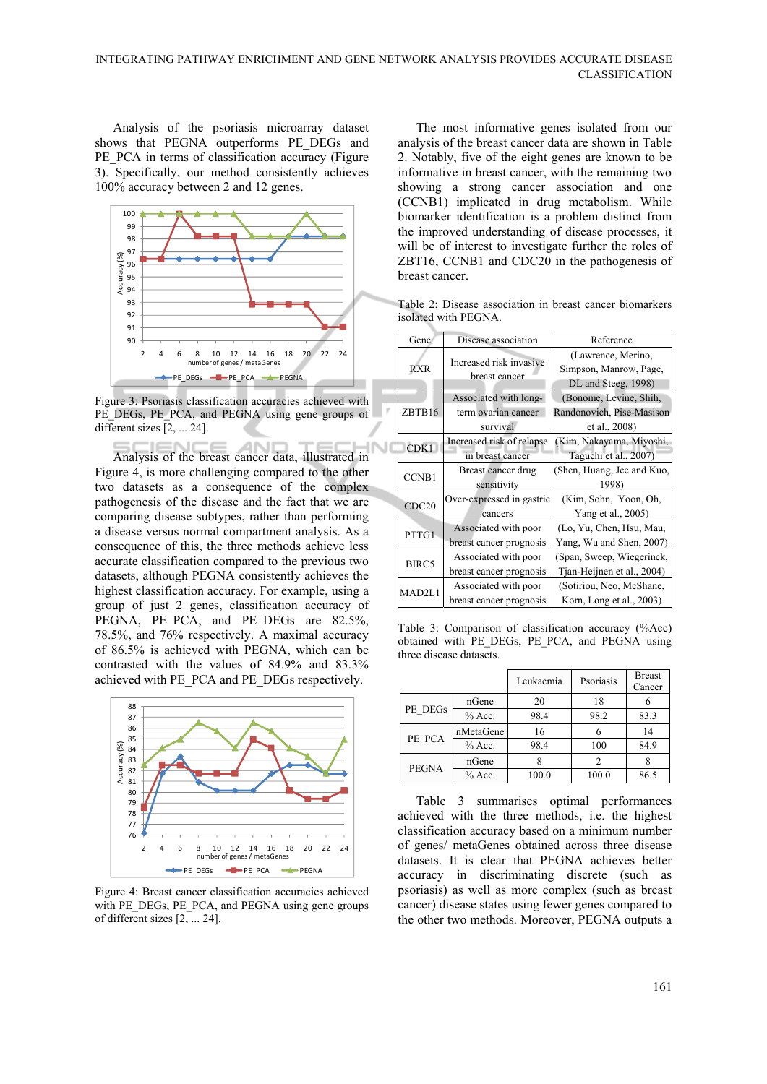Analysis of the psoriasis microarray dataset shows that PEGNA outperforms PE\_DEGs and PE\_PCA in terms of classification accuracy (Figure 3). Specifically, our method consistently achieves 100% accuracy between 2 and 12 genes.



Figure 3: Psoriasis classification accuracies achieved with PE\_DEGs, PE\_PCA, and PEGNA using gene groups of different sizes  $[2, ... 24]$ .

Analysis of the breast cancer data, illustrated in Figure 4, is more challenging compared to the other two datasets as a consequence of the complex pathogenesis of the disease and the fact that we are comparing disease subtypes, rather than performing a disease versus normal compartment analysis. As a consequence of this, the three methods achieve less accurate classification compared to the previous two datasets, although PEGNA consistently achieves the highest classification accuracy. For example, using a group of just 2 genes, classification accuracy of PEGNA, PE\_PCA, and PE\_DEGs are 82.5%, 78.5%, and 76% respectively. A maximal accuracy of 86.5% is achieved with PEGNA, which can be contrasted with the values of 84.9% and 83.3% achieved with PE\_PCA and PE\_DEGs respectively.



Figure 4: Breast cancer classification accuracies achieved with PE\_DEGs, PE\_PCA, and PEGNA using gene groups of different sizes [2, ... 24].

The most informative genes isolated from our analysis of the breast cancer data are shown in Table 2. Notably, five of the eight genes are known to be informative in breast cancer, with the remaining two showing a strong cancer association and one (CCNB1) implicated in drug metabolism. While biomarker identification is a problem distinct from the improved understanding of disease processes, it will be of interest to investigate further the roles of ZBT16, CCNB1 and CDC20 in the pathogenesis of breast cancer.

Table 2: Disease association in breast cancer biomarkers isolated with PEGNA.

| Gene               | Disease association                      | Reference                  |  |  |  |  |  |  |
|--------------------|------------------------------------------|----------------------------|--|--|--|--|--|--|
|                    | Increased risk invasive<br>breast cancer | (Lawrence, Merino,         |  |  |  |  |  |  |
| <b>RXR</b>         |                                          | Simpson, Manrow, Page,     |  |  |  |  |  |  |
|                    |                                          | DL and Steeg, 1998)        |  |  |  |  |  |  |
|                    | Associated with long-                    | (Bonome, Levine, Shih,     |  |  |  |  |  |  |
| ZBTB16             | term ovarian cancer                      | Randonovich, Pise-Masison  |  |  |  |  |  |  |
|                    | survival                                 | et al., 2008)              |  |  |  |  |  |  |
| CDK <sub>1</sub>   | Increased risk of relapse                | (Kim, Nakayama, Miyoshi,   |  |  |  |  |  |  |
|                    | in breast cancer                         | Taguchi et al., 2007)      |  |  |  |  |  |  |
| <b>CCNB1</b>       | Breast cancer drug                       | (Shen, Huang, Jee and Kuo, |  |  |  |  |  |  |
|                    | sensitivity                              | 1998)                      |  |  |  |  |  |  |
| CDC20              | Over-expressed in gastric                | (Kim, Sohn, Yoon, Oh,      |  |  |  |  |  |  |
|                    | cancers                                  | Yang et al., 2005)         |  |  |  |  |  |  |
| PTTG1              | Associated with poor                     | (Lo, Yu, Chen, Hsu, Mau,   |  |  |  |  |  |  |
|                    | breast cancer prognosis                  | Yang, Wu and Shen, 2007)   |  |  |  |  |  |  |
| BIRC5              | Associated with poor                     | (Span, Sweep, Wiegerinck,  |  |  |  |  |  |  |
|                    | breast cancer prognosis                  | Tjan-Heijnen et al., 2004) |  |  |  |  |  |  |
| MAD <sub>2L1</sub> | Associated with poor                     | (Sotiriou, Neo, McShane,   |  |  |  |  |  |  |
|                    | breast cancer prognosis                  | Korn, Long et al., 2003)   |  |  |  |  |  |  |

Table 3: Comparison of classification accuracy (%Acc) obtained with PE\_DEGs, PE\_PCA, and PEGNA using three disease datasets.

|              |           | Leukaemia | Psoriasis | <b>Breast</b><br>Cancer |
|--------------|-----------|-----------|-----------|-------------------------|
|              | nGene     | 20        | 18        | 6                       |
| PE DEGs      | $%$ Acc.  | 98.4      | 98.2      | 83.3                    |
|              | nMetaGene | 16        |           | 14                      |
| PE PCA       | $%$ Acc.  | 98.4      | 100       | 84.9                    |
|              | nGene     |           |           |                         |
| <b>PEGNA</b> | $%$ Acc.  | 100.0     | 100.0     | 86.5                    |

Table 3 summarises optimal performances achieved with the three methods, i.e. the highest classification accuracy based on a minimum number of genes/ metaGenes obtained across three disease datasets. It is clear that PEGNA achieves better accuracy in discriminating discrete (such as psoriasis) as well as more complex (such as breast cancer) disease states using fewer genes compared to the other two methods. Moreover, PEGNA outputs a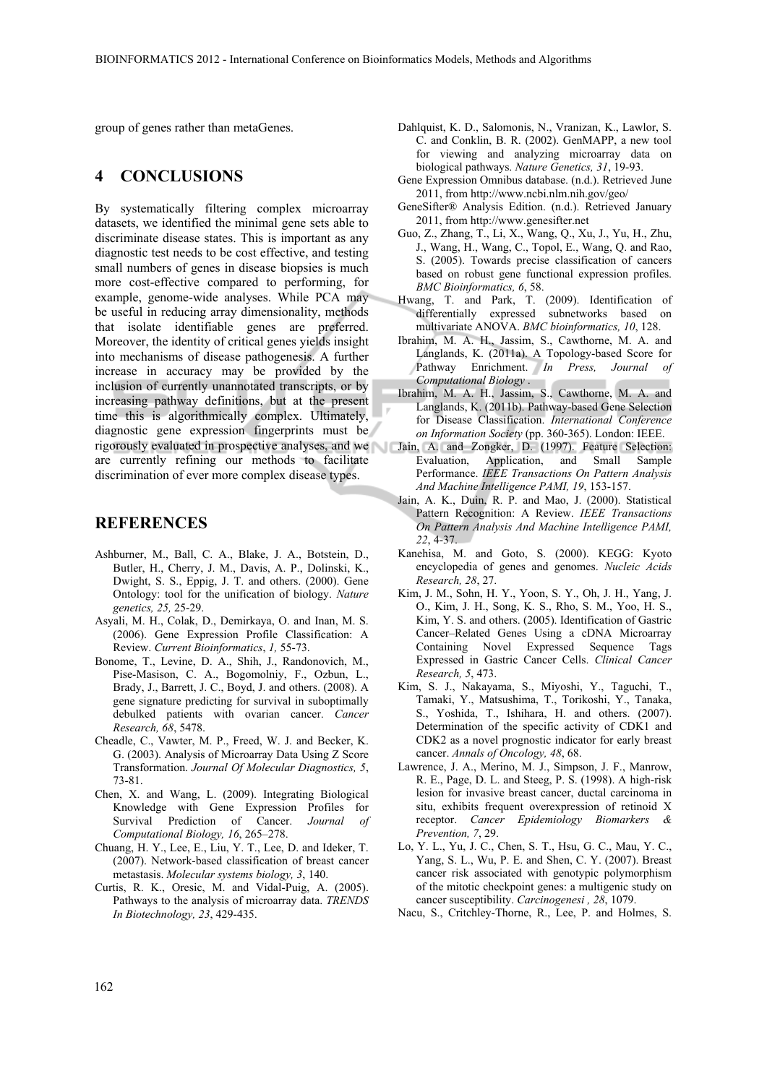group of genes rather than metaGenes.

## **4 CONCLUSIONS**

By systematically filtering complex microarray datasets, we identified the minimal gene sets able to discriminate disease states. This is important as any diagnostic test needs to be cost effective, and testing small numbers of genes in disease biopsies is much more cost-effective compared to performing, for example, genome-wide analyses. While PCA may be useful in reducing array dimensionality, methods that isolate identifiable genes are preferred. Moreover, the identity of critical genes yields insight into mechanisms of disease pathogenesis. A further increase in accuracy may be provided by the inclusion of currently unannotated transcripts, or by increasing pathway definitions, but at the present time this is algorithmically complex. Ultimately, diagnostic gene expression fingerprints must be rigorously evaluated in prospective analyses, and we Jain, A. and Zongker, D. (1997). Feature Selection: are currently refining our methods to facilitate discrimination of ever more complex disease types.

### **REFERENCES**

- Ashburner, M., Ball, C. A., Blake, J. A., Botstein, D., Butler, H., Cherry, J. M., Davis, A. P., Dolinski, K., Dwight, S. S., Eppig, J. T. and others. (2000). Gene Ontology: tool for the unification of biology. *Nature genetics, 25,* 25-29.
- Asyali, M. H., Colak, D., Demirkaya, O. and Inan, M. S. (2006). Gene Expression Profile Classification: A Review. *Current Bioinformatics*, *1,* 55-73.
- Bonome, T., Levine, D. A., Shih, J., Randonovich, M., Pise-Masison, C. A., Bogomolniy, F., Ozbun, L., Brady, J., Barrett, J. C., Boyd, J. and others. (2008). A gene signature predicting for survival in suboptimally debulked patients with ovarian cancer. *Cancer Research, 68*, 5478.
- Cheadle, C., Vawter, M. P., Freed, W. J. and Becker, K. G. (2003). Analysis of Microarray Data Using Z Score Transformation. *Journal Of Molecular Diagnostics, 5*, 73-81.
- Chen, X. and Wang, L. (2009). Integrating Biological Knowledge with Gene Expression Profiles for Survival Prediction of Cancer. *Journal of Computational Biology, 16*, 265–278.
- Chuang, H. Y., Lee, E., Liu, Y. T., Lee, D. and Ideker, T. (2007). Network-based classification of breast cancer metastasis. *Molecular systems biology, 3*, 140.
- Curtis, R. K., Oresic, M. and Vidal-Puig, A. (2005). Pathways to the analysis of microarray data. *TRENDS In Biotechnology, 23*, 429-435.
- Dahlquist, K. D., Salomonis, N., Vranizan, K., Lawlor, S. C. and Conklin, B. R. (2002). GenMAPP, a new tool for viewing and analyzing microarray data on biological pathways. *Nature Genetics, 31*, 19-93.
- Gene Expression Omnibus database. (n.d.). Retrieved June 2011, from http://www.ncbi.nlm.nih.gov/geo/
- GeneSifter® Analysis Edition. (n.d.). Retrieved January 2011, from http://www.genesifter.net
- Guo, Z., Zhang, T., Li, X., Wang, Q., Xu, J., Yu, H., Zhu, J., Wang, H., Wang, C., Topol, E., Wang, Q. and Rao, S. (2005). Towards precise classification of cancers based on robust gene functional expression profiles. *BMC Bioinformatics, 6*, 58.
- Hwang, T. and Park, T. (2009). Identification of differentially expressed subnetworks based on multivariate ANOVA. *BMC bioinformatics, 10*, 128.
- Ibrahim, M. A. H., Jassim, S., Cawthorne, M. A. and Langlands, K. (2011a). A Topology-based Score for Pathway Enrichment. *In Press, Journal of Computational Biology* .
- Ibrahim, M. A. H., Jassim, S., Cawthorne, M. A. and Langlands, K. (2011b). Pathway-based Gene Selection for Disease Classification. *International Conference on Information Society* (pp. 360-365). London: IEEE.
- Evaluation, Application, and Small Sample Performance. *IEEE Transactions On Pattern Analysis And Machine Intelligence PAMI, 19*, 153-157.
- Jain, A. K., Duin, R. P. and Mao, J. (2000). Statistical Pattern Recognition: A Review. *IEEE Transactions On Pattern Analysis And Machine Intelligence PAMI, 22*, 4-37.
- Kanehisa, M. and Goto, S. (2000). KEGG: Kyoto encyclopedia of genes and genomes. *Nucleic Acids Research, 28*, 27.
- Kim, J. M., Sohn, H. Y., Yoon, S. Y., Oh, J. H., Yang, J. O., Kim, J. H., Song, K. S., Rho, S. M., Yoo, H. S., Kim, Y. S. and others. (2005). Identification of Gastric Cancer–Related Genes Using a cDNA Microarray Containing Novel Expressed Sequence Tags Expressed in Gastric Cancer Cells. *Clinical Cancer Research, 5*, 473.
- Kim, S. J., Nakayama, S., Miyoshi, Y., Taguchi, T., Tamaki, Y., Matsushima, T., Torikoshi, Y., Tanaka, S., Yoshida, T., Ishihara, H. and others. (2007). Determination of the specific activity of CDK1 and CDK2 as a novel prognostic indicator for early breast cancer. *Annals of Oncology, 48*, 68.
- Lawrence, J. A., Merino, M. J., Simpson, J. F., Manrow, R. E., Page, D. L. and Steeg, P. S. (1998). A high-risk lesion for invasive breast cancer, ductal carcinoma in situ, exhibits frequent overexpression of retinoid X receptor. *Cancer Epidemiology Biomarkers & Prevention, 7*, 29.
- Lo, Y. L., Yu, J. C., Chen, S. T., Hsu, G. C., Mau, Y. C., Yang, S. L., Wu, P. E. and Shen, C. Y. (2007). Breast cancer risk associated with genotypic polymorphism of the mitotic checkpoint genes: a multigenic study on cancer susceptibility. *Carcinogenesi , 28*, 1079.
- Nacu, S., Critchley-Thorne, R., Lee, P. and Holmes, S.